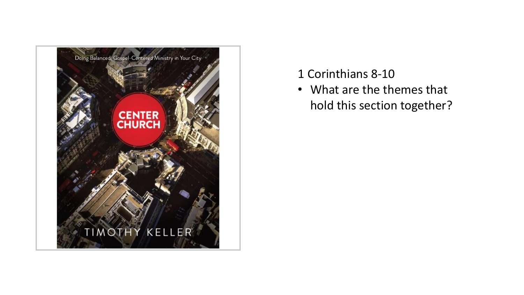

#### 1 Corinthians 8-10

• What are the themes that hold this section together?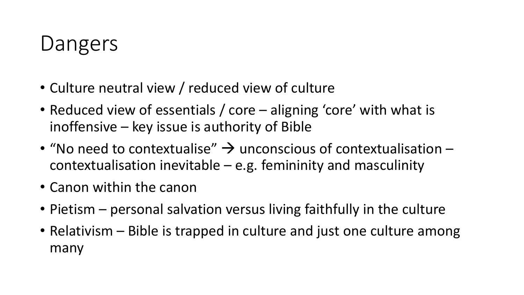# Dangers

- Culture neutral view / reduced view of culture
- Reduced view of essentials / core aligning 'core' with what is inoffensive – key issue is authority of Bible
- "No need to contextualise"  $\rightarrow$  unconscious of contextualisation contextualisation inevitable  $-e.g.$  femininity and masculinity
- Canon within the canon
- Pietism personal salvation versus living faithfully in the culture
- Relativism Bible is trapped in culture and just one culture among many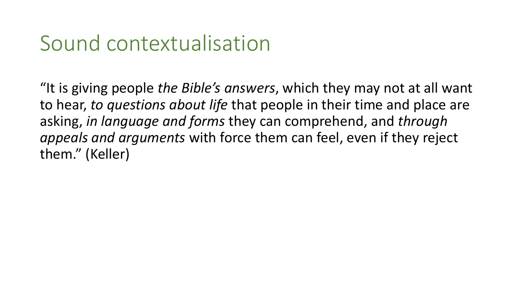#### Sound contextualisation

"It is giving people *the Bible's answers*, which they may not at all want to hear, *to questions about life* that people in their time and place are asking, *in language and forms* they can comprehend, and *through appeals and arguments* with force them can feel, even if they reject them." (Keller)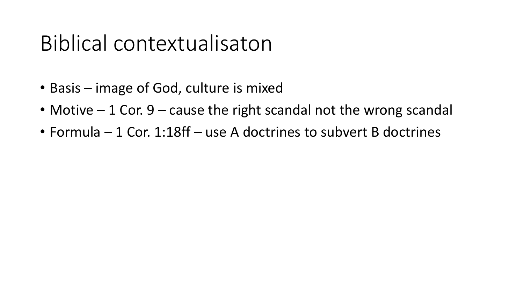## Biblical contextualisaton

- Basis image of God, culture is mixed
- Motive  $-1$  Cor. 9 cause the right scandal not the wrong scandal
- Formula 1 Cor. 1:18ff use A doctrines to subvert B doctrines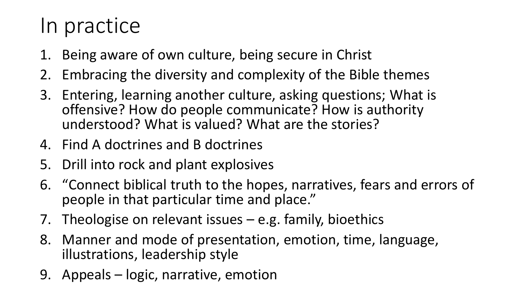## In practice

- 1. Being aware of own culture, being secure in Christ
- 2. Embracing the diversity and complexity of the Bible themes
- 3. Entering, learning another culture, asking questions; What is offensive? How do people communicate? How is authority understood? What is valued? What are the stories?
- 4. Find A doctrines and B doctrines
- 5. Drill into rock and plant explosives
- 6. "Connect biblical truth to the hopes, narratives, fears and errors of people in that particular time and place."
- 7. Theologise on relevant issues e.g. family, bioethics
- 8. Manner and mode of presentation, emotion, time, language, illustrations, leadership style
- 9. Appeals logic, narrative, emotion